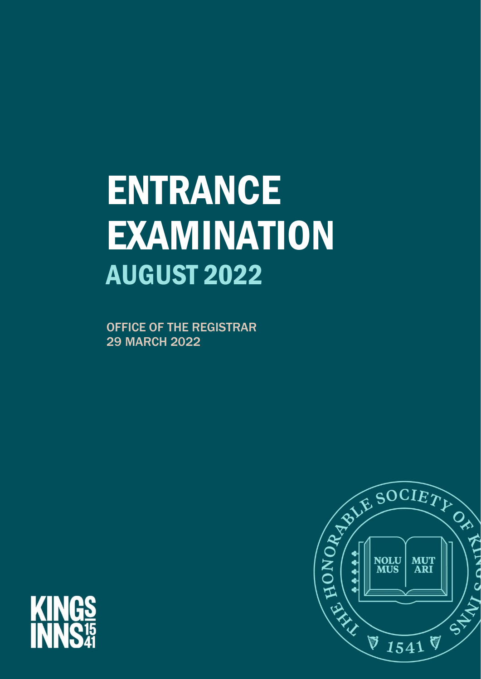# **ENTRANCE** EXAMINATION AUGUST 2022

OFFICE OF THE REGISTRAR 29 MARCH 2022



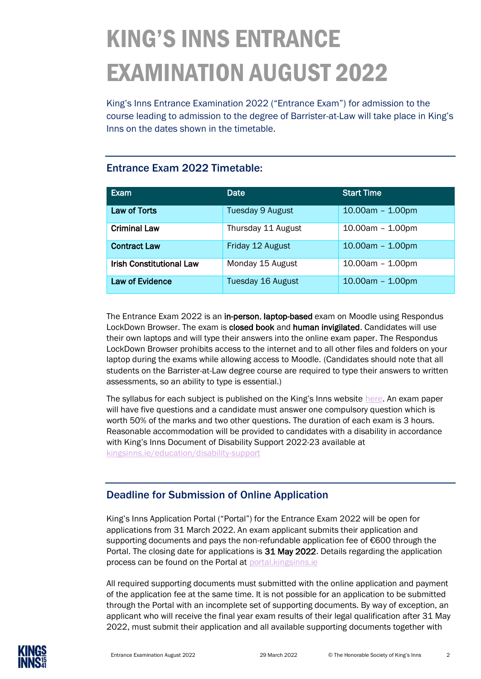## KING'S INNS ENTRANCE EXAMINATION AUGUST 2022

King's Inns Entrance Examination 2022 ("Entrance Exam") for admission to the course leading to admission to the degree of Barrister-at-Law will take place in King's Inns on the dates shown in the timetable.

#### Entrance Exam 2022 Timetable:

| Exam                     | Date                    | <b>Start Time</b>  |
|--------------------------|-------------------------|--------------------|
| Law of Torts             | <b>Tuesday 9 August</b> | $10.00am - 1.00pm$ |
| <b>Criminal Law</b>      | Thursday 11 August      | $10.00am - 1.00pm$ |
| <b>Contract Law</b>      | Friday 12 August        | $10.00am - 1.00pm$ |
| Irish Constitutional Law | Monday 15 August        | $10.00am - 1.00pm$ |
| <b>Law of Evidence</b>   | Tuesday 16 August       | $10.00am - 1.00pm$ |

The Entrance Exam 2022 is an in-person, laptop-based exam on Moodle using Respondus LockDown Browser. The exam is closed book and human invigilated. Candidates will use their own laptops and will type their answers into the online exam paper. The Respondus LockDown Browser prohibits access to the internet and to all other files and folders on your laptop during the exams while allowing access to Moodle. (Candidates should note that all students on the Barrister-at-Law degree course are required to type their answers to written assessments, so an ability to type is essential.)

The syllabus for each subject is published on the King's Inns website [here.](https://www.kingsinns.ie/education/entrance-examination) An exam paper will have five questions and a candidate must answer one compulsory question which is worth 50% of the marks and two other questions. The duration of each exam is 3 hours. Reasonable accommodation will be provided to candidates with a disability in accordance with King's Inns Document of Disability Support 2022-23 available at [kingsinns.ie/education/disability-support](https://www.kingsinns.ie/education/disability-support)

### Deadline for Submission of Online Application

King's Inns Application Portal ("Portal") for the Entrance Exam 2022 will be open for applications from 31 March 2022. An exam applicant submits their application and supporting documents and pays the non-refundable application fee of €600 through the Portal. The closing date for applications is 31 May 2022. Details regarding the application process can be found on the Portal at [portal.kingsinns.ie](http://www.portal.kingsinns.ie/)

All required supporting documents must submitted with the online application and payment of the application fee at the same time. It is not possible for an application to be submitted through the Portal with an incomplete set of supporting documents. By way of exception, an applicant who will receive the final year exam results of their legal qualification after 31 May 2022, must submit their application and all available supporting documents together with